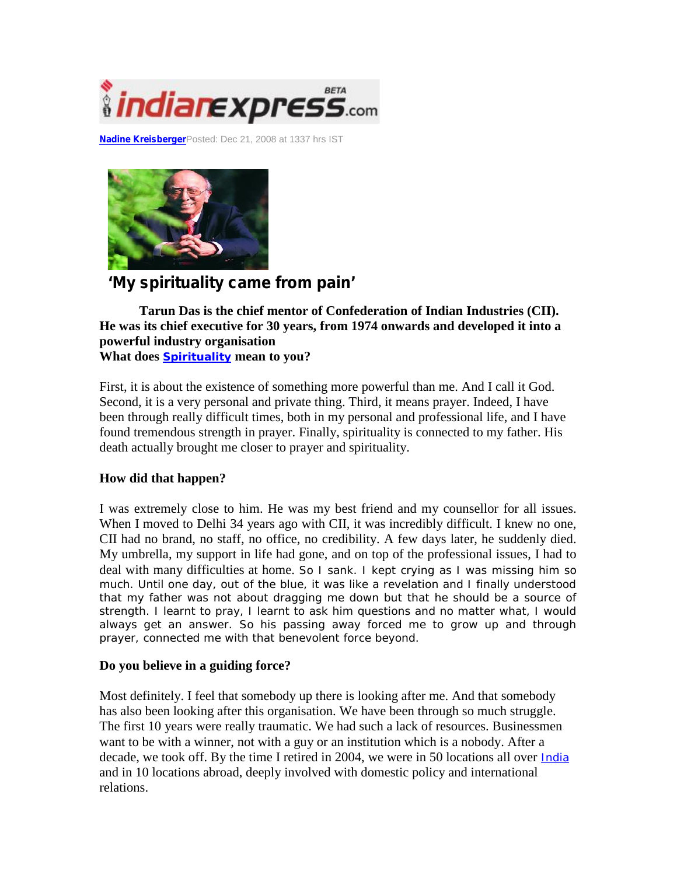

**Nadine Kreisberger**Posted: Dec 21, 2008 at 1337 hrs IST



# **'My spirituality came from pain'**

**Tarun Das is the chief mentor of Confederation of Indian Industries (CII). He was its chief executive for 30 years, from 1974 onwards and developed it into a powerful industry organisation**

**What does Spirituality mean to you?**

First, it is about the existence of something more powerful than me. And I call it God. Second, it is a very personal and private thing. Third, it means prayer. Indeed, I have been through really difficult times, both in my personal and professional life, and I have found tremendous strength in prayer. Finally, spirituality is connected to my father. His death actually brought me closer to prayer and spirituality.

## **How did that happen?**

I was extremely close to him. He was my best friend and my counsellor for all issues. When I moved to Delhi 34 years ago with CII, it was incredibly difficult. I knew no one, CII had no brand, no staff, no office, no credibility. A few days later, he suddenly died. My umbrella, my support in life had gone, and on top of the professional issues, I had to deal with many difficulties at home. So I sank. I kept crying as I was missing him so much. Until one day, out of the blue, it was like a revelation and I finally understood that my father was not about dragging me down but that he should be a source of strength. I learnt to pray, I learnt to ask him questions and no matter what, I would always get an answer. So his passing away forced me to grow up and through prayer, connected me with that benevolent force beyond.

#### **Do you believe in a guiding force?**

Most definitely. I feel that somebody up there is looking after me. And that somebody has also been looking after this organisation. We have been through so much struggle. The first 10 years were really traumatic. We had such a lack of resources. Businessmen want to be with a winner, not with a guy or an institution which is a nobody. After a decade, we took off. By the time I retired in 2004, we were in 50 locations all over India and in 10 locations abroad, deeply involved with domestic policy and international relations.